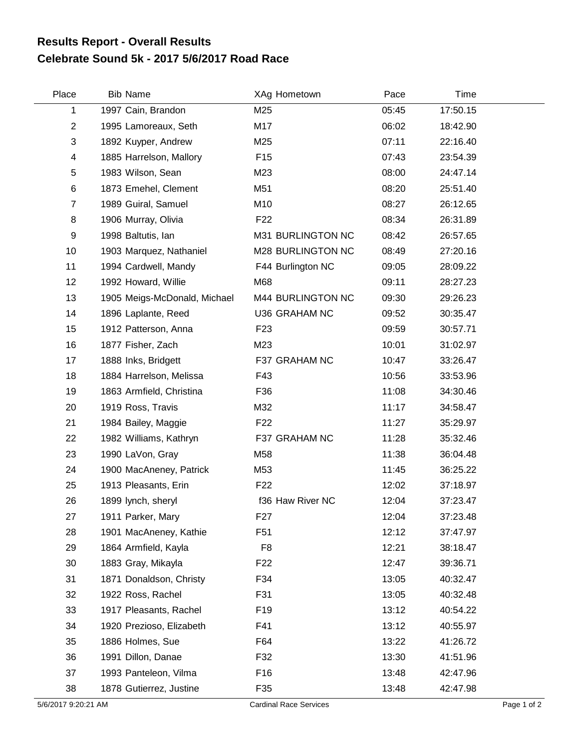## **Celebrate Sound 5k - 2017 5/6/2017 Road Race Results Report - Overall Results**

| Place                   | <b>Bib Name</b>              | XAg Hometown                  | Pace  | Time     |             |
|-------------------------|------------------------------|-------------------------------|-------|----------|-------------|
| 1                       | 1997 Cain, Brandon           | M25                           | 05:45 | 17:50.15 |             |
| $\overline{c}$          | 1995 Lamoreaux, Seth         | M17                           | 06:02 | 18:42.90 |             |
| 3                       | 1892 Kuyper, Andrew          | M25                           | 07:11 | 22:16.40 |             |
| $\overline{\mathbf{4}}$ | 1885 Harrelson, Mallory      | F <sub>15</sub>               | 07:43 | 23:54.39 |             |
| 5                       | 1983 Wilson, Sean            | M23                           | 08:00 | 24:47.14 |             |
| 6                       | 1873 Emehel, Clement         | M51                           | 08:20 | 25:51.40 |             |
| $\overline{7}$          | 1989 Guiral, Samuel          | M10                           | 08:27 | 26:12.65 |             |
| 8                       | 1906 Murray, Olivia          | F <sub>22</sub>               | 08:34 | 26:31.89 |             |
| 9                       | 1998 Baltutis, lan           | M31 BURLINGTON NC             | 08:42 | 26:57.65 |             |
| 10                      | 1903 Marquez, Nathaniel      | M28 BURLINGTON NC             | 08:49 | 27:20.16 |             |
| 11                      | 1994 Cardwell, Mandy         | F44 Burlington NC             | 09:05 | 28:09.22 |             |
| 12                      | 1992 Howard, Willie          | M68                           | 09:11 | 28:27.23 |             |
| 13                      | 1905 Meigs-McDonald, Michael | M44 BURLINGTON NC             | 09:30 | 29:26.23 |             |
| 14                      | 1896 Laplante, Reed          | U36 GRAHAM NC                 | 09:52 | 30:35.47 |             |
| 15                      | 1912 Patterson, Anna         | F <sub>23</sub>               | 09:59 | 30:57.71 |             |
| 16                      | 1877 Fisher, Zach            | M23                           | 10:01 | 31:02.97 |             |
| 17                      | 1888 Inks, Bridgett          | F37 GRAHAM NC                 | 10:47 | 33:26.47 |             |
| 18                      | 1884 Harrelson, Melissa      | F43                           | 10:56 | 33:53.96 |             |
| 19                      | 1863 Armfield, Christina     | F36                           | 11:08 | 34:30.46 |             |
| 20                      | 1919 Ross, Travis            | M32                           | 11:17 | 34:58.47 |             |
| 21                      | 1984 Bailey, Maggie          | F <sub>22</sub>               | 11:27 | 35:29.97 |             |
| 22                      | 1982 Williams, Kathryn       | F37 GRAHAM NC                 | 11:28 | 35:32.46 |             |
| 23                      | 1990 LaVon, Gray             | M58                           | 11:38 | 36:04.48 |             |
| 24                      | 1900 MacAneney, Patrick      | M53                           | 11:45 | 36:25.22 |             |
| 25                      | 1913 Pleasants, Erin         | F <sub>22</sub>               | 12:02 | 37:18.97 |             |
| 26                      | 1899 lynch, sheryl           | f36 Haw River NC              | 12:04 | 37:23.47 |             |
| 27                      | 1911 Parker, Mary            | F27                           | 12:04 | 37:23.48 |             |
| 28                      | 1901 MacAneney, Kathie       | F <sub>51</sub>               | 12:12 | 37:47.97 |             |
| 29                      | 1864 Armfield, Kayla         | F <sub>8</sub>                | 12:21 | 38:18.47 |             |
| 30                      | 1883 Gray, Mikayla           | F <sub>22</sub>               | 12:47 | 39:36.71 |             |
| 31                      | 1871 Donaldson, Christy      | F34                           | 13:05 | 40:32.47 |             |
| 32                      | 1922 Ross, Rachel            | F31                           | 13:05 | 40:32.48 |             |
| 33                      | 1917 Pleasants, Rachel       | F <sub>19</sub>               | 13:12 | 40:54.22 |             |
| 34                      | 1920 Prezioso, Elizabeth     | F41                           | 13:12 | 40:55.97 |             |
| 35                      | 1886 Holmes, Sue             | F64                           | 13:22 | 41:26.72 |             |
| 36                      | 1991 Dillon, Danae           | F32                           | 13:30 | 41:51.96 |             |
| 37                      | 1993 Panteleon, Vilma        | F16                           | 13:48 | 42:47.96 |             |
| 38                      | 1878 Gutierrez, Justine      | F35                           | 13:48 | 42:47.98 |             |
| 5/6/2017 9:20:21 AM     |                              | <b>Cardinal Race Services</b> |       |          | Page 1 of 2 |